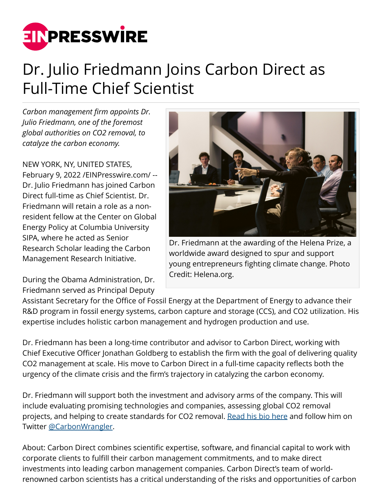

## Dr. Julio Friedmann Joins Carbon Direct as Full-Time Chief Scientist

*Carbon management firm appoints Dr. Julio Friedmann, one of the foremost global authorities on CO2 removal, to catalyze the carbon economy.*

NEW YORK, NY, UNITED STATES, February 9, 2022 [/EINPresswire.com](http://www.einpresswire.com)/ -- Dr. Julio Friedmann has joined Carbon Direct full-time as Chief Scientist. Dr. Friedmann will retain a role as a nonresident fellow at the Center on Global Energy Policy at Columbia University SIPA, where he acted as Senior Research Scholar leading the Carbon Management Research Initiative.

During the Obama Administration, Dr. Friedmann served as Principal Deputy



Dr. Friedmann at the awarding of the Helena Prize, a worldwide award designed to spur and support young entrepreneurs fighting climate change. Photo Credit: Helena.org.

Assistant Secretary for the Office of Fossil Energy at the Department of Energy to advance their R&D program in fossil energy systems, carbon capture and storage (CCS), and CO2 utilization. His expertise includes holistic carbon management and hydrogen production and use.

Dr. Friedmann has been a long-time contributor and advisor to Carbon Direct, working with Chief Executive Officer Jonathan Goldberg to establish the firm with the goal of delivering quality CO2 management at scale. His move to Carbon Direct in a full-time capacity reflects both the urgency of the climate crisis and the firm's trajectory in catalyzing the carbon economy.

Dr. Friedmann will support both the investment and advisory arms of the company. This will include evaluating promising technologies and companies, assessing global CO2 removal projects, and helping to create standards for CO2 removal. [Read his bio here](https://carbon-direct.com/team/julio-friedmann/) and follow him on Twitter [@CarbonWrangler.](https://twitter.com/CarbonWrangler)

About: Carbon Direct combines scientific expertise, software, and financial capital to work with corporate clients to fulfill their carbon management commitments, and to make direct investments into leading carbon management companies. Carbon Direct's team of worldrenowned carbon scientists has a critical understanding of the risks and opportunities of carbon